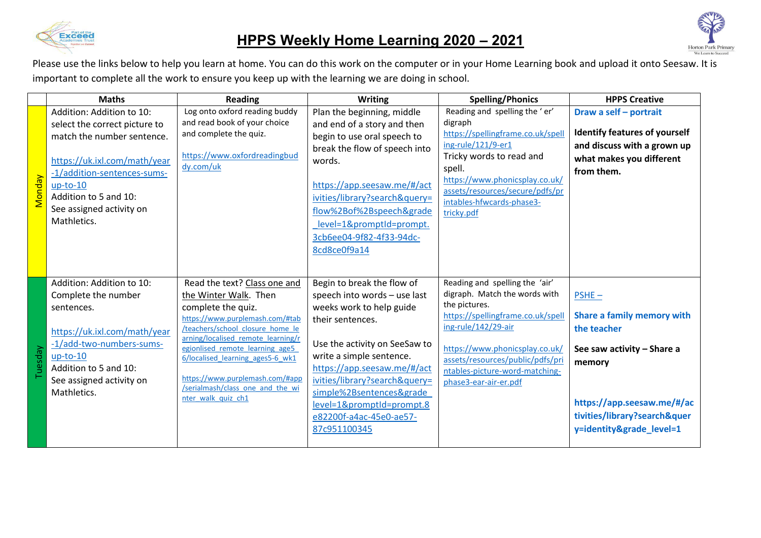

## **HPPS Weekly Home Learning 2020 – 2021**



|         | <b>Maths</b>                                                                                                                                                                                                 | <b>Reading</b>                                                                                                                                                                                                                                                                                                                                               | <b>Writing</b>                                                                                                                                                                                                                                                                                                                              | <b>Spelling/Phonics</b>                                                                                                                                                                                                                                                       | <b>HPPS Creative</b>                                                                                                                                                                    |
|---------|--------------------------------------------------------------------------------------------------------------------------------------------------------------------------------------------------------------|--------------------------------------------------------------------------------------------------------------------------------------------------------------------------------------------------------------------------------------------------------------------------------------------------------------------------------------------------------------|---------------------------------------------------------------------------------------------------------------------------------------------------------------------------------------------------------------------------------------------------------------------------------------------------------------------------------------------|-------------------------------------------------------------------------------------------------------------------------------------------------------------------------------------------------------------------------------------------------------------------------------|-----------------------------------------------------------------------------------------------------------------------------------------------------------------------------------------|
|         | Addition: Addition to 10:                                                                                                                                                                                    | Log onto oxford reading buddy                                                                                                                                                                                                                                                                                                                                | Plan the beginning, middle                                                                                                                                                                                                                                                                                                                  | Reading and spelling the 'er'                                                                                                                                                                                                                                                 | Draw a self - portrait                                                                                                                                                                  |
|         | select the correct picture to<br>match the number sentence.                                                                                                                                                  | and read book of your choice<br>and complete the quiz.                                                                                                                                                                                                                                                                                                       | and end of a story and then<br>begin to use oral speech to                                                                                                                                                                                                                                                                                  | digraph<br>https://spellingframe.co.uk/spell                                                                                                                                                                                                                                  | <b>Identify features of yourself</b>                                                                                                                                                    |
| Monday  | https://uk.ixl.com/math/year<br>-1/addition-sentences-sums-<br>$up-to-10$<br>Addition to 5 and 10:<br>See assigned activity on<br>Mathletics.                                                                | https://www.oxfordreadingbud<br>dy.com/uk                                                                                                                                                                                                                                                                                                                    | break the flow of speech into<br>words.<br>https://app.seesaw.me/#/act<br>ivities/library?search&query=<br>flow%2Bof%2Bspeech&grade<br>level=1&promptId=prompt.<br>3cb6ee04-9f82-4f33-94dc-<br>8cd8ce0f9a14                                                                                                                                 | ing-rule/121/9-er1<br>Tricky words to read and<br>spell.<br>https://www.phonicsplay.co.uk/<br>assets/resources/secure/pdfs/pr<br>intables-hfwcards-phase3-<br>tricky.pdf                                                                                                      | and discuss with a grown up<br>what makes you different<br>from them.                                                                                                                   |
| Tuesday | Addition: Addition to 10:<br>Complete the number<br>sentences.<br>https://uk.ixl.com/math/year<br>-1/add-two-numbers-sums-<br>$up-to-10$<br>Addition to 5 and 10:<br>See assigned activity on<br>Mathletics. | Read the text? Class one and<br>the Winter Walk. Then<br>complete the quiz.<br>https://www.purplemash.com/#tab<br>/teachers/school closure home le<br>arning/localised remote learning/r<br>egionlised remote learning age5<br>6/localised learning ages5-6 wk1<br>https://www.purplemash.com/#app<br>/serialmash/class one and the wi<br>nter walk quiz ch1 | Begin to break the flow of<br>speech into words - use last<br>weeks work to help guide<br>their sentences.<br>Use the activity on SeeSaw to<br>write a simple sentence.<br>https://app.seesaw.me/#/act<br>ivities/library?search&query=<br>simple%2Bsentences&grade<br>level=1&promptId=prompt.8<br>e82200f-a4ac-45e0-ae57-<br>87c951100345 | Reading and spelling the 'air'<br>digraph. Match the words with<br>the pictures.<br>https://spellingframe.co.uk/spell<br>ing-rule/142/29-air<br>https://www.phonicsplay.co.uk/<br>assets/resources/public/pdfs/pri<br>ntables-picture-word-matching-<br>phase3-ear-air-er.pdf | $PSHE -$<br>Share a family memory with<br>the teacher<br>See saw activity - Share a<br>memory<br>https://app.seesaw.me/#/ac<br>tivities/library?search&quer<br>y=identity&grade_level=1 |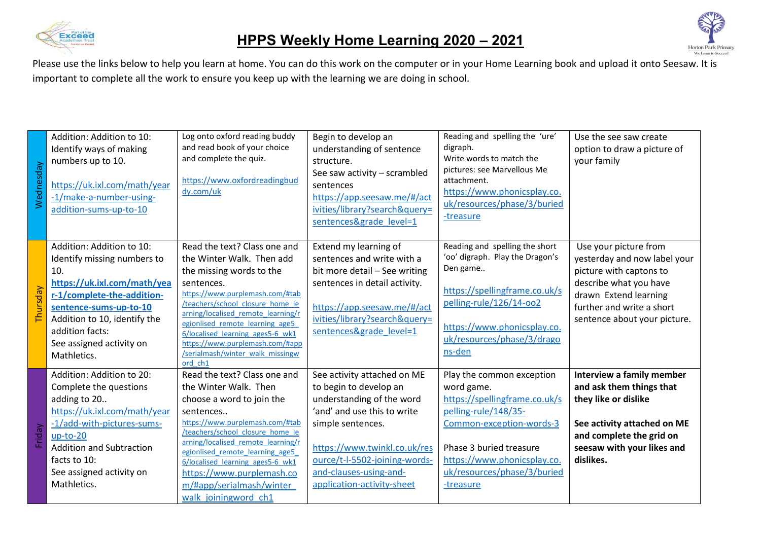



| Wednesday | Addition: Addition to 10:<br>Identify ways of making<br>numbers up to 10.<br>https://uk.ixl.com/math/year<br>-1/make-a-number-using-<br>addition-sums-up-to-10                                                                                       | Log onto oxford reading buddy<br>and read book of your choice<br>and complete the quiz.<br>https://www.oxfordreadingbud<br>dy.com/uk                                                                                                                                                                                                                                      | Begin to develop an<br>understanding of sentence<br>structure.<br>See saw activity - scrambled<br>sentences<br>https://app.seesaw.me/#/act<br>ivities/library?search&query=<br>sentences&grade level=1                                                          | Reading and spelling the 'ure'<br>digraph.<br>Write words to match the<br>pictures: see Marvellous Me<br>attachment.<br>https://www.phonicsplay.co.<br>uk/resources/phase/3/buried<br>-treasure                                    | Use the see saw create<br>option to draw a picture of<br>your family                                                                                                                             |
|-----------|------------------------------------------------------------------------------------------------------------------------------------------------------------------------------------------------------------------------------------------------------|---------------------------------------------------------------------------------------------------------------------------------------------------------------------------------------------------------------------------------------------------------------------------------------------------------------------------------------------------------------------------|-----------------------------------------------------------------------------------------------------------------------------------------------------------------------------------------------------------------------------------------------------------------|------------------------------------------------------------------------------------------------------------------------------------------------------------------------------------------------------------------------------------|--------------------------------------------------------------------------------------------------------------------------------------------------------------------------------------------------|
| Thursday  | Addition: Addition to 10:<br>Identify missing numbers to<br>10.<br>https://uk.ixl.com/math/yea<br>r-1/complete-the-addition-<br>sentence-sums-up-to-10<br>Addition to 10, identify the<br>addition facts:<br>See assigned activity on<br>Mathletics. | Read the text? Class one and<br>the Winter Walk. Then add<br>the missing words to the<br>sentences.<br>https://www.purplemash.com/#tab<br>/teachers/school closure home le<br>arning/localised remote learning/r<br>egionlised remote learning age5<br>6/localised learning ages5-6 wk1<br>https://www.purplemash.com/#app<br>/serialmash/winter walk missingw<br>ord ch1 | Extend my learning of<br>sentences and write with a<br>bit more detail - See writing<br>sentences in detail activity.<br>https://app.seesaw.me/#/act<br>ivities/library?search&query=<br>sentences&grade level=1                                                | Reading and spelling the short<br>'oo' digraph. Play the Dragon's<br>Den game<br>https://spellingframe.co.uk/s<br>pelling-rule/126/14-oo2<br>https://www.phonicsplay.co.<br>uk/resources/phase/3/drago<br>ns-den                   | Use your picture from<br>yesterday and now label your<br>picture with captons to<br>describe what you have<br>drawn Extend learning<br>further and write a short<br>sentence about your picture. |
| Friday    | Addition: Addition to 20:<br>Complete the questions<br>adding to 20<br>https://uk.ixl.com/math/year<br>-1/add-with-pictures-sums-<br>$up-to-20$<br><b>Addition and Subtraction</b><br>facts to 10:<br>See assigned activity on<br>Mathletics.        | Read the text? Class one and<br>the Winter Walk. Then<br>choose a word to join the<br>sentences<br>https://www.purplemash.com/#tab<br>/teachers/school closure home le<br>arning/localised remote learning/r<br>egionlised remote learning age5<br>6/localised learning ages5-6 wk1<br>https://www.purplemash.co<br>m/#app/serialmash/winter<br>walk joiningword ch1      | See activity attached on ME<br>to begin to develop an<br>understanding of the word<br>'and' and use this to write<br>simple sentences.<br>https://www.twinkl.co.uk/res<br>ource/t-l-5502-joining-words-<br>and-clauses-using-and-<br>application-activity-sheet | Play the common exception<br>word game.<br>https://spellingframe.co.uk/s<br>pelling-rule/148/35-<br>Common-exception-words-3<br>Phase 3 buried treasure<br>https://www.phonicsplay.co.<br>uk/resources/phase/3/buried<br>-treasure | Interview a family member<br>and ask them things that<br>they like or dislike<br>See activity attached on ME<br>and complete the grid on<br>seesaw with your likes and<br>dislikes.              |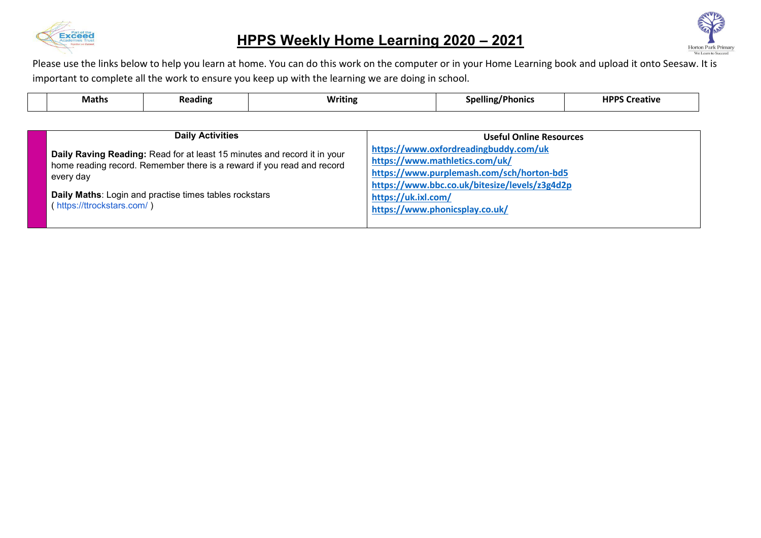

## **HPPS Weekly Home Learning 2020 – 2021**



| <b>Maths</b>                            | <b>Reading</b>                                                                                                                                                                                               | <b>Writing</b> |                                | <b>Spelling/Phonics</b>                                                                                                                                                                                 | <b>HPPS Creative</b> |  |  |
|-----------------------------------------|--------------------------------------------------------------------------------------------------------------------------------------------------------------------------------------------------------------|----------------|--------------------------------|---------------------------------------------------------------------------------------------------------------------------------------------------------------------------------------------------------|----------------------|--|--|
|                                         |                                                                                                                                                                                                              |                |                                |                                                                                                                                                                                                         |                      |  |  |
| <b>Daily Activities</b>                 |                                                                                                                                                                                                              |                | <b>Useful Online Resources</b> |                                                                                                                                                                                                         |                      |  |  |
| every day<br>(https://ttrockstars.com/) | Daily Raving Reading: Read for at least 15 minutes and record it in your<br>home reading record. Remember there is a reward if you read and record<br>Daily Maths: Login and practise times tables rockstars |                | https://uk.ixl.com/            | https://www.oxfordreadingbuddy.com/uk<br>https://www.mathletics.com/uk/<br>https://www.purplemash.com/sch/horton-bd5<br>https://www.bbc.co.uk/bitesize/levels/z3g4d2p<br>https://www.phonicsplay.co.uk/ |                      |  |  |